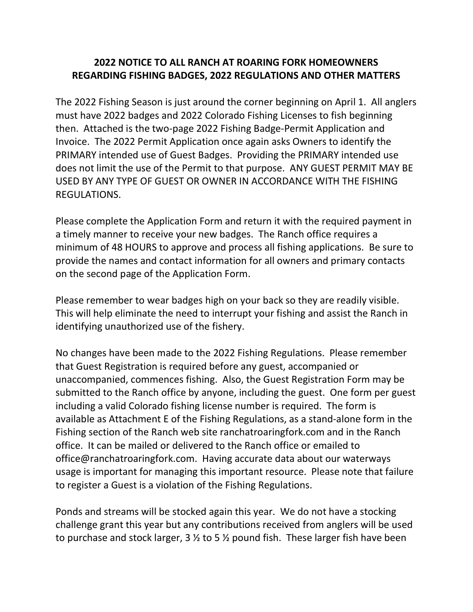## 2022 NOTICE TO ALL RANCH AT ROARING FORK HOMEOWNERS REGARDING FISHING BADGES, 2022 REGULATIONS AND OTHER MATTERS

The 2022 Fishing Season is just around the corner beginning on April 1. All anglers must have 2022 badges and 2022 Colorado Fishing Licenses to fish beginning then. Attached is the two-page 2022 Fishing Badge-Permit Application and Invoice. The 2022 Permit Application once again asks Owners to identify the PRIMARY intended use of Guest Badges. Providing the PRIMARY intended use does not limit the use of the Permit to that purpose. ANY GUEST PERMIT MAY BE USED BY ANY TYPE OF GUEST OR OWNER IN ACCORDANCE WITH THE FISHING REGULATIONS.

Please complete the Application Form and return it with the required payment in a timely manner to receive your new badges. The Ranch office requires a minimum of 48 HOURS to approve and process all fishing applications. Be sure to provide the names and contact information for all owners and primary contacts on the second page of the Application Form.

Please remember to wear badges high on your back so they are readily visible. This will help eliminate the need to interrupt your fishing and assist the Ranch in identifying unauthorized use of the fishery.

No changes have been made to the 2022 Fishing Regulations. Please remember that Guest Registration is required before any guest, accompanied or unaccompanied, commences fishing. Also, the Guest Registration Form may be submitted to the Ranch office by anyone, including the guest. One form per guest including a valid Colorado fishing license number is required. The form is available as Attachment E of the Fishing Regulations, as a stand-alone form in the Fishing section of the Ranch web site ranchatroaringfork.com and in the Ranch office. It can be mailed or delivered to the Ranch office or emailed to office@ranchatroaringfork.com. Having accurate data about our waterways usage is important for managing this important resource. Please note that failure to register a Guest is a violation of the Fishing Regulations.

Ponds and streams will be stocked again this year. We do not have a stocking challenge grant this year but any contributions received from anglers will be used to purchase and stock larger, 3  $\frac{1}{2}$  to 5  $\frac{1}{2}$  pound fish. These larger fish have been